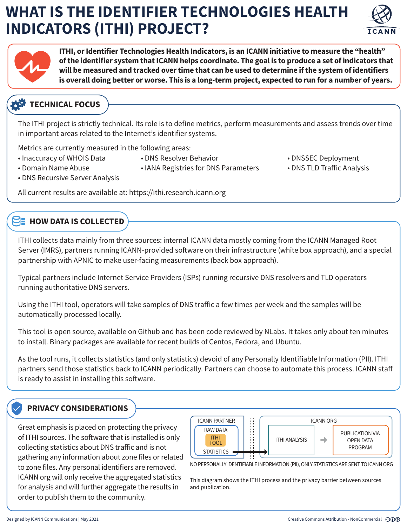# **WHAT IS THE IDENTIFIER TECHNOLOGIES HEALTH INDICATORS (ITHI) PROJECT?**





**ITHI, or Identifier Technologies Health Indicators, is an ICANN initiative to measure the "health" of the identifier system that ICANN helps coordinate. The goal is to produce a set of indicators that will be measured and tracked over time that can be used to determine if the system of identifiers is overall doing better or worse. This is a long-term project, expected to run for a number of years.** 

## **TECHNICAL FOCUS**

The ITHI project is strictly technical. Its role is to define metrics, perform measurements and assess trends over time in important areas related to the Internet's identifier systems.

• IANA Registries for DNS Parameters

Metrics are currently measured in the following areas:

• Inaccuracy of WHOIS Data

• Domain Name Abuse

• DNS Resolver Behavior

- DNSSEC Deployment
- DNS TLD Traffic Analysis

• DNS Recursive Server Analysis

All current results are available at: https://ithi.research.icann.org

### **HOW DATA IS COLLECTED**

ITHI collects data mainly from three sources: internal ICANN data mostly coming from the ICANN Managed Root Server (IMRS), partners running ICANN-provided software on their infrastructure (white box approach), and a special partnership with APNIC to make user-facing measurements (back box approach).

Typical partners include Internet Service Providers (ISPs) running recursive DNS resolvers and TLD operators running authoritative DNS servers.

Using the ITHI tool, operators will take samples of DNS traffic a few times per week and the samples will be automatically processed locally.

This tool is open source, available on Github and has been code reviewed by NLabs. It takes only about ten minutes to install. Binary packages are available for recent builds of Centos, Fedora, and Ubuntu.

As the tool runs, it collects statistics (and only statistics) devoid of any Personally Identifiable Information (PII). ITHI partners send those statistics back to ICANN periodically. Partners can choose to automate this process. ICANN sta is ready to assist in installing this software.

### **PRIVACY CONSIDERATIONS**

Great emphasis is placed on protecting the privacy of ITHI sources. The software that is installed is only collecting statistics about DNS traffic and is not gathering any information about zone files or related to zone files. Any personal identifiers are removed. ICANN org will only receive the aggregated statistics for analysis and will further aggregate the results in order to publish them to the community.



NO PERSONALLY IDENTIFIABLE INFORMATION (PII), ONLY STATISTICS ARE SENT TO ICANN ORG

This diagram shows the ITHI process and the privacy barrier between sources and publication.